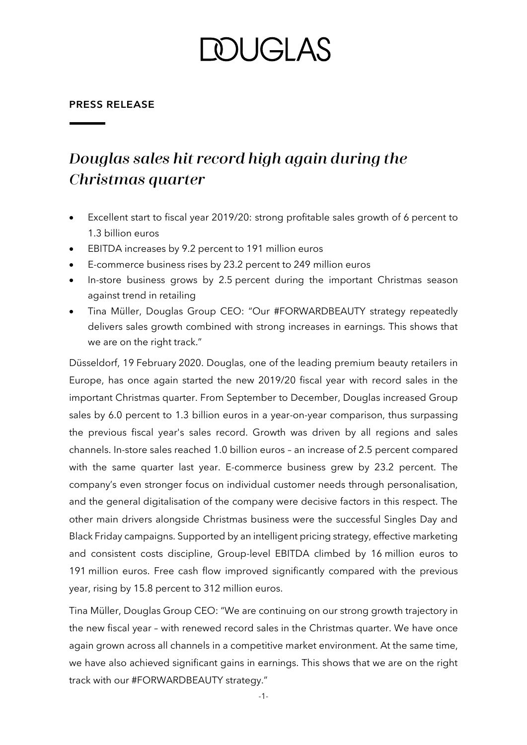# DUGLAS

#### **PRESS RELEASE**

## Douglas sales hit record high again during the Christmas quarter

- Excellent start to fiscal year 2019/20: strong profitable sales growth of 6 percent to 1.3 billion euros
- EBITDA increases by 9.2 percent to 191 million euros
- E-commerce business rises by 23.2 percent to 249 million euros
- In-store business grows by 2.5 percent during the important Christmas season against trend in retailing
- Tina Müller, Douglas Group CEO: "Our #FORWARDBEAUTY strategy repeatedly delivers sales growth combined with strong increases in earnings. This shows that we are on the right track."

Düsseldorf, 19 February 2020. Douglas, one of the leading premium beauty retailers in Europe, has once again started the new 2019/20 fiscal year with record sales in the important Christmas quarter. From September to December, Douglas increased Group sales by 6.0 percent to 1.3 billion euros in a year-on-year comparison, thus surpassing the previous fiscal year's sales record. Growth was driven by all regions and sales channels. In-store sales reached 1.0 billion euros – an increase of 2.5 percent compared with the same quarter last year. E-commerce business grew by 23.2 percent. The company's even stronger focus on individual customer needs through personalisation, and the general digitalisation of the company were decisive factors in this respect. The other main drivers alongside Christmas business were the successful Singles Day and Black Friday campaigns. Supported by an intelligent pricing strategy, effective marketing and consistent costs discipline, Group-level EBITDA climbed by 16 million euros to 191 million euros. Free cash flow improved significantly compared with the previous year, rising by 15.8 percent to 312 million euros.

Tina Müller, Douglas Group CEO: "We are continuing on our strong growth trajectory in the new fiscal year – with renewed record sales in the Christmas quarter. We have once again grown across all channels in a competitive market environment. At the same time, we have also achieved significant gains in earnings. This shows that we are on the right track with our #FORWARDBEAUTY strategy."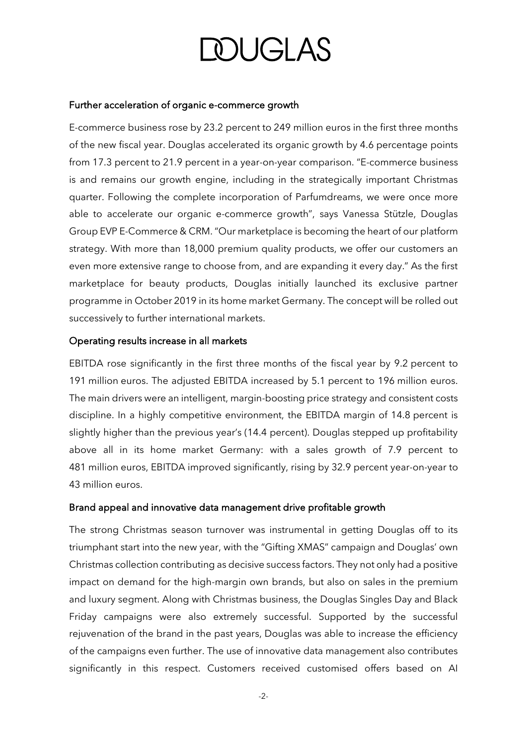# **DOUGLAS**

#### Further acceleration of organic e-commerce growth

E-commerce business rose by 23.2 percent to 249 million euros in the first three months of the new fiscal year. Douglas accelerated its organic growth by 4.6 percentage points from 17.3 percent to 21.9 percent in a year-on-year comparison. "E-commerce business is and remains our growth engine, including in the strategically important Christmas quarter. Following the complete incorporation of Parfumdreams, we were once more able to accelerate our organic e-commerce growth", says Vanessa Stützle, Douglas Group EVP E-Commerce & CRM. "Our marketplace is becoming the heart of our platform strategy. With more than 18,000 premium quality products, we offer our customers an even more extensive range to choose from, and are expanding it every day." As the first marketplace for beauty products, Douglas initially launched its exclusive partner programme in October 2019 in its home market Germany. The concept will be rolled out successively to further international markets.

### Operating results increase in all markets

EBITDA rose significantly in the first three months of the fiscal year by 9.2 percent to 191 million euros. The adjusted EBITDA increased by 5.1 percent to 196 million euros. The main drivers were an intelligent, margin-boosting price strategy and consistent costs discipline. In a highly competitive environment, the EBITDA margin of 14.8 percent is slightly higher than the previous year's (14.4 percent). Douglas stepped up profitability above all in its home market Germany: with a sales growth of 7.9 percent to 481 million euros, EBITDA improved significantly, rising by 32.9 percent year-on-year to 43 million euros.

### Brand appeal and innovative data management drive profitable growth

The strong Christmas season turnover was instrumental in getting Douglas off to its triumphant start into the new year, with the "Gifting XMAS" campaign and Douglas' own Christmas collection contributing as decisive success factors. They not only had a positive impact on demand for the high-margin own brands, but also on sales in the premium and luxury segment. Along with Christmas business, the Douglas Singles Day and Black Friday campaigns were also extremely successful. Supported by the successful rejuvenation of the brand in the past years, Douglas was able to increase the efficiency of the campaigns even further. The use of innovative data management also contributes significantly in this respect. Customers received customised offers based on AI